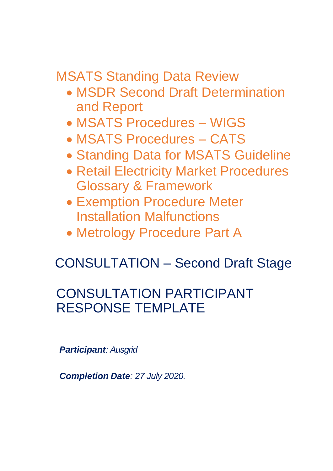MSATS Standing Data Review

- MSDR Second Draft Determination and Report
- MSATS Procedures WIGS
- MSATS Procedures CATS
- Standing Data for MSATS Guideline
- Retail Electricity Market Procedures Glossary & Framework
- Exemption Procedure Meter Installation Malfunctions
- Metrology Procedure Part A

# CONSULTATION – Second Draft Stage

# CONSULTATION PARTICIPANT RESPONSE TEMPLATE

*Participant: Ausgrid* 

*Completion Date: 27 July 2020.*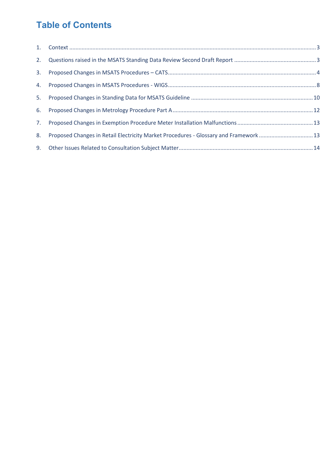# **Table of Contents**

| 8. | Proposed Changes in Retail Electricity Market Procedures - Glossary and Framework13 |  |
|----|-------------------------------------------------------------------------------------|--|
|    |                                                                                     |  |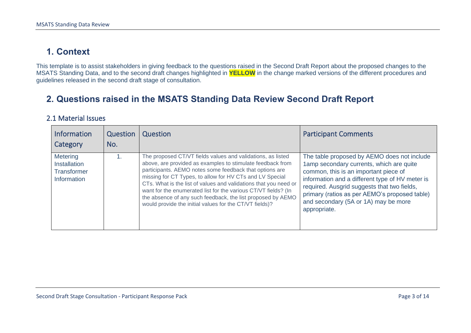### **1. Context**

This template is to assist stakeholders in giving feedback to the questions raised in the Second Draft Report about the proposed changes to the MSATS Standing Data, and to the second draft changes highlighted in **YELLOW** in the change marked versions of the different procedures and guidelines released in the second draft stage of consultation.

### **2. Questions raised in the MSATS Standing Data Review Second Draft Report**

#### 2.1 Material Issues

<span id="page-2-1"></span><span id="page-2-0"></span>

| <b>Information</b><br>Category                                       | Question<br>No. | Question                                                                                                                                                                                                                                                                                                                                                                                                                                                                                                         | <b>Participant Comments</b>                                                                                                                                                                                                                                                                                                                 |
|----------------------------------------------------------------------|-----------------|------------------------------------------------------------------------------------------------------------------------------------------------------------------------------------------------------------------------------------------------------------------------------------------------------------------------------------------------------------------------------------------------------------------------------------------------------------------------------------------------------------------|---------------------------------------------------------------------------------------------------------------------------------------------------------------------------------------------------------------------------------------------------------------------------------------------------------------------------------------------|
| <b>Metering</b><br><b>Installation</b><br>Transformer<br>Information |                 | The proposed CT/VT fields values and validations, as listed<br>above, are provided as examples to stimulate feedback from<br>participants. AEMO notes some feedback that options are<br>missing for CT Types, to allow for HV CTs and LV Special<br>CTs. What is the list of values and validations that you need or<br>want for the enumerated list for the various CT/VT fields? (In<br>the absence of any such feedback, the list proposed by AEMO<br>would provide the initial values for the CT/VT fields)? | The table proposed by AEMO does not include<br>1amp secondary currents, which are quite<br>common, this is an important piece of<br>information and a different type of HV meter is<br>required. Ausgrid suggests that two fields,<br>primary (ratios as per AEMO's proposed table)<br>and secondary (5A or 1A) may be more<br>appropriate. |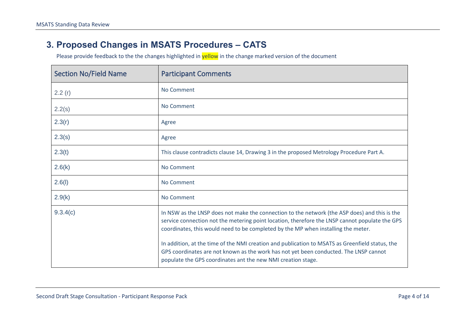#### **3. Proposed Changes in MSATS Procedures – CATS**

<span id="page-3-0"></span>

| <b>Section No/Field Name</b> | <b>Participant Comments</b>                                                                                                                                                                                                                                                          |
|------------------------------|--------------------------------------------------------------------------------------------------------------------------------------------------------------------------------------------------------------------------------------------------------------------------------------|
| 2.2(r)                       | No Comment                                                                                                                                                                                                                                                                           |
| 2.2(s)                       | No Comment                                                                                                                                                                                                                                                                           |
| 2.3(r)                       | Agree                                                                                                                                                                                                                                                                                |
| 2.3(s)                       | Agree                                                                                                                                                                                                                                                                                |
| 2.3(t)                       | This clause contradicts clause 14, Drawing 3 in the proposed Metrology Procedure Part A.                                                                                                                                                                                             |
| 2.6(k)                       | No Comment                                                                                                                                                                                                                                                                           |
| 2.6(l)                       | No Comment                                                                                                                                                                                                                                                                           |
| 2.9(k)                       | No Comment                                                                                                                                                                                                                                                                           |
| 9.3.4(c)                     | In NSW as the LNSP does not make the connection to the network (the ASP does) and this is the<br>service connection not the metering point location, therefore the LNSP cannot populate the GPS<br>coordinates, this would need to be completed by the MP when installing the meter. |
|                              | In addition, at the time of the NMI creation and publication to MSATS as Greenfield status, the<br>GPS coordinates are not known as the work has not yet been conducted. The LNSP cannot<br>populate the GPS coordinates ant the new NMI creation stage.                             |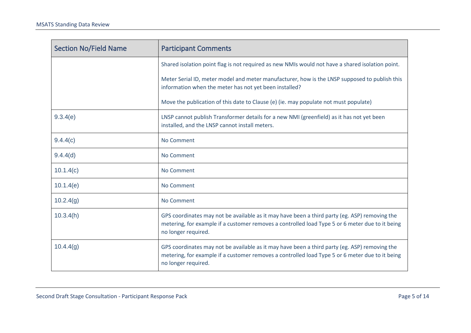| <b>Section No/Field Name</b> | <b>Participant Comments</b>                                                                                                                                                                                             |
|------------------------------|-------------------------------------------------------------------------------------------------------------------------------------------------------------------------------------------------------------------------|
|                              | Shared isolation point flag is not required as new NMIs would not have a shared isolation point.                                                                                                                        |
|                              | Meter Serial ID, meter model and meter manufacturer, how is the LNSP supposed to publish this<br>information when the meter has not yet been installed?                                                                 |
|                              | Move the publication of this date to Clause (e) (ie. may populate not must populate)                                                                                                                                    |
| 9.3.4(e)                     | LNSP cannot publish Transformer details for a new NMI (greenfield) as it has not yet been<br>installed, and the LNSP cannot install meters.                                                                             |
| 9.4.4(c)                     | No Comment                                                                                                                                                                                                              |
| 9.4.4(d)                     | No Comment                                                                                                                                                                                                              |
| 10.1.4(c)                    | No Comment                                                                                                                                                                                                              |
| 10.1.4(e)                    | No Comment                                                                                                                                                                                                              |
| 10.2.4(g)                    | No Comment                                                                                                                                                                                                              |
| 10.3.4(h)                    | GPS coordinates may not be available as it may have been a third party (eg. ASP) removing the<br>metering, for example if a customer removes a controlled load Type 5 or 6 meter due to it being<br>no longer required. |
| 10.4.4(g)                    | GPS coordinates may not be available as it may have been a third party (eg. ASP) removing the<br>metering, for example if a customer removes a controlled load Type 5 or 6 meter due to it being<br>no longer required. |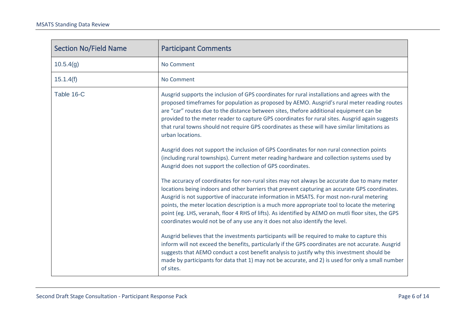| <b>Section No/Field Name</b> | <b>Participant Comments</b>                                                                                                                                                                                                                                                                                                                                                                                                                                                                                                                                                                                                                                                                                                                                                                                                                                                                                                                                                                                                                                                                                                                                                                                                                                                                                                                                                                                                                                                                                                                                                                                                                                                                                                                                                             |
|------------------------------|-----------------------------------------------------------------------------------------------------------------------------------------------------------------------------------------------------------------------------------------------------------------------------------------------------------------------------------------------------------------------------------------------------------------------------------------------------------------------------------------------------------------------------------------------------------------------------------------------------------------------------------------------------------------------------------------------------------------------------------------------------------------------------------------------------------------------------------------------------------------------------------------------------------------------------------------------------------------------------------------------------------------------------------------------------------------------------------------------------------------------------------------------------------------------------------------------------------------------------------------------------------------------------------------------------------------------------------------------------------------------------------------------------------------------------------------------------------------------------------------------------------------------------------------------------------------------------------------------------------------------------------------------------------------------------------------------------------------------------------------------------------------------------------------|
| 10.5.4(g)                    | No Comment                                                                                                                                                                                                                                                                                                                                                                                                                                                                                                                                                                                                                                                                                                                                                                                                                                                                                                                                                                                                                                                                                                                                                                                                                                                                                                                                                                                                                                                                                                                                                                                                                                                                                                                                                                              |
| 15.1.4(f)                    | No Comment                                                                                                                                                                                                                                                                                                                                                                                                                                                                                                                                                                                                                                                                                                                                                                                                                                                                                                                                                                                                                                                                                                                                                                                                                                                                                                                                                                                                                                                                                                                                                                                                                                                                                                                                                                              |
| Table 16-C                   | Ausgrid supports the inclusion of GPS coordinates for rural installations and agrees with the<br>proposed timeframes for population as proposed by AEMO. Ausgrid's rural meter reading routes<br>are "car" routes due to the distance between sites, thefore additional equipment can be<br>provided to the meter reader to capture GPS coordinates for rural sites. Ausgrid again suggests<br>that rural towns should not require GPS coordinates as these will have similar limitations as<br>urban locations.<br>Ausgrid does not support the inclusion of GPS Coordinates for non rural connection points<br>(including rural townships). Current meter reading hardware and collection systems used by<br>Ausgrid does not support the collection of GPS coordinates.<br>The accuracy of coordinates for non-rural sites may not always be accurate due to many meter<br>locations being indoors and other barriers that prevent capturing an accurate GPS coordinates.<br>Ausgrid is not supportive of inaccurate information in MSATS. For most non-rural metering<br>points, the meter location description is a much more appropriate tool to locate the metering<br>point (eg. LHS, veranah, floor 4 RHS of lifts). As identified by AEMO on mutli floor sites, the GPS<br>coordinates would not be of any use any it does not also identify the level.<br>Ausgrid believes that the investments participants will be required to make to capture this<br>inform will not exceed the benefits, particularly if the GPS coordinates are not accurate. Ausgrid<br>suggests that AEMO conduct a cost benefit analysis to justify why this investment should be<br>made by participants for data that 1) may not be accurate, and 2) is used for only a small number<br>of sites. |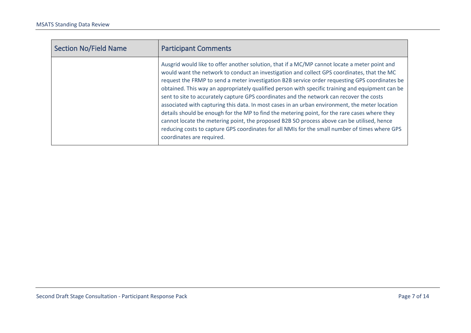| <b>Section No/Field Name</b> | <b>Participant Comments</b>                                                                                                                                                                                                                                                                                                                                                                                                                                                                                                                                                                                                                                                                                                                                                                                                                                                                                                    |
|------------------------------|--------------------------------------------------------------------------------------------------------------------------------------------------------------------------------------------------------------------------------------------------------------------------------------------------------------------------------------------------------------------------------------------------------------------------------------------------------------------------------------------------------------------------------------------------------------------------------------------------------------------------------------------------------------------------------------------------------------------------------------------------------------------------------------------------------------------------------------------------------------------------------------------------------------------------------|
|                              | Ausgrid would like to offer another solution, that if a MC/MP cannot locate a meter point and<br>would want the network to conduct an investigation and collect GPS coordinates, that the MC<br>request the FRMP to send a meter investigation B2B service order requesting GPS coordinates be<br>obtained. This way an appropriately qualified person with specific training and equipment can be<br>sent to site to accurately capture GPS coordinates and the network can recover the costs<br>associated with capturing this data. In most cases in an urban environment, the meter location<br>details should be enough for the MP to find the metering point, for the rare cases where they<br>cannot locate the metering point, the proposed B2B SO process above can be utilised, hence<br>reducing costs to capture GPS coordinates for all NMIs for the small number of times where GPS<br>coordinates are required. |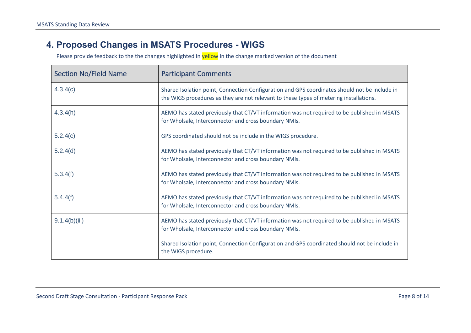#### **4. Proposed Changes in MSATS Procedures - WIGS**

<span id="page-7-0"></span>

| <b>Section No/Field Name</b> | <b>Participant Comments</b>                                                                                                                                                             |
|------------------------------|-----------------------------------------------------------------------------------------------------------------------------------------------------------------------------------------|
| 4.3.4(c)                     | Shared Isolation point, Connection Configuration and GPS coordinates should not be include in<br>the WIGS procedures as they are not relevant to these types of metering installations. |
| 4.3.4(h)                     | AEMO has stated previously that CT/VT information was not required to be published in MSATS<br>for Wholsale, Interconnector and cross boundary NMIs.                                    |
| 5.2.4(c)                     | GPS coordinated should not be include in the WIGS procedure.                                                                                                                            |
| 5.2.4(d)                     | AEMO has stated previously that CT/VT information was not required to be published in MSATS<br>for Wholsale, Interconnector and cross boundary NMIs.                                    |
| 5.3.4(f)                     | AEMO has stated previously that CT/VT information was not required to be published in MSATS<br>for Wholsale, Interconnector and cross boundary NMIs.                                    |
| 5.4.4(f)                     | AEMO has stated previously that CT/VT information was not required to be published in MSATS<br>for Wholsale, Interconnector and cross boundary NMIs.                                    |
| 9.1.4(b)(iii)                | AEMO has stated previously that CT/VT information was not required to be published in MSATS<br>for Wholsale, Interconnector and cross boundary NMIs.                                    |
|                              | Shared Isolation point, Connection Configuration and GPS coordinated should not be include in<br>the WIGS procedure.                                                                    |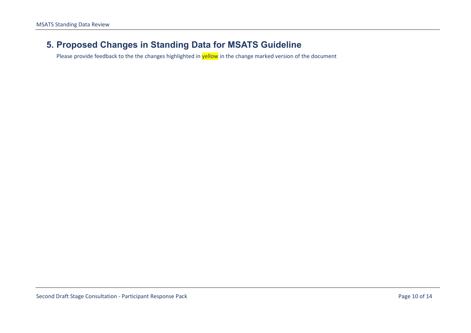#### <span id="page-9-0"></span>**5. Proposed Changes in Standing Data for MSATS Guideline**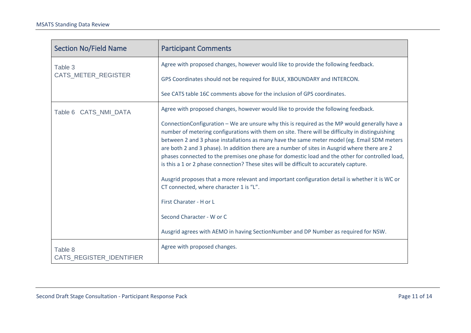| <b>Section No/Field Name</b>        | <b>Participant Comments</b>                                                                                                                                                                                                                                                                                                                                                                                                                                                                                                                                                                                                                                                                                                                                                                                                                                                                 |
|-------------------------------------|---------------------------------------------------------------------------------------------------------------------------------------------------------------------------------------------------------------------------------------------------------------------------------------------------------------------------------------------------------------------------------------------------------------------------------------------------------------------------------------------------------------------------------------------------------------------------------------------------------------------------------------------------------------------------------------------------------------------------------------------------------------------------------------------------------------------------------------------------------------------------------------------|
| Table 3                             | Agree with proposed changes, however would like to provide the following feedback.                                                                                                                                                                                                                                                                                                                                                                                                                                                                                                                                                                                                                                                                                                                                                                                                          |
| <b>CATS METER REGISTER</b>          | GPS Coordinates should not be required for BULK, XBOUNDARY and INTERCON.                                                                                                                                                                                                                                                                                                                                                                                                                                                                                                                                                                                                                                                                                                                                                                                                                    |
|                                     | See CATS table 16C comments above for the inclusion of GPS coordinates.                                                                                                                                                                                                                                                                                                                                                                                                                                                                                                                                                                                                                                                                                                                                                                                                                     |
| Table 6 CATS_NMI_DATA               | Agree with proposed changes, however would like to provide the following feedback.                                                                                                                                                                                                                                                                                                                                                                                                                                                                                                                                                                                                                                                                                                                                                                                                          |
|                                     | ConnectionConfiguration - We are unsure why this is required as the MP would generally have a<br>number of metering configurations with them on site. There will be difficulty in distinguishing<br>between 2 and 3 phase installations as many have the same meter model (eg. Email SDM meters<br>are both 2 and 3 phase). In addition there are a number of sites in Ausgrid where there are 2<br>phases connected to the premises one phase for domestic load and the other for controlled load,<br>is this a 1 or 2 phase connection? These sites will be difficult to accurately capture.<br>Ausgrid proposes that a more relevant and important configuration detail is whether it is WC or<br>CT connected, where character 1 is "L".<br>First Charater - H or L<br>Second Character - W or C<br>Ausgrid agrees with AEMO in having SectionNumber and DP Number as required for NSW. |
| Table 8<br>CATS_REGISTER_IDENTIFIER | Agree with proposed changes.                                                                                                                                                                                                                                                                                                                                                                                                                                                                                                                                                                                                                                                                                                                                                                                                                                                                |
|                                     |                                                                                                                                                                                                                                                                                                                                                                                                                                                                                                                                                                                                                                                                                                                                                                                                                                                                                             |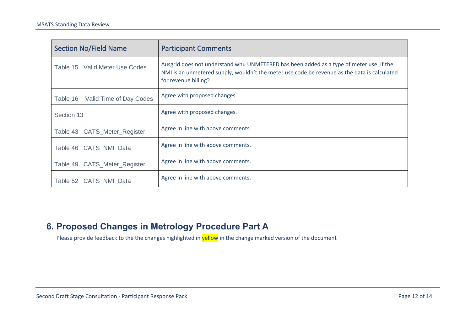| <b>Section No/Field Name</b>     | <b>Participant Comments</b>                                                                                                                                                                                     |
|----------------------------------|-----------------------------------------------------------------------------------------------------------------------------------------------------------------------------------------------------------------|
| Table 15 Valid Meter Use Codes   | Ausgrid does not understand whu UNMETERED has been added as a type of meter use. If the<br>NMI is an unmetered supply, wouldn't the meter use code be revenue as the data is calculated<br>for revenue billing? |
| Table 16 Valid Time of Day Codes | Agree with proposed changes.                                                                                                                                                                                    |
| Section 13                       | Agree with proposed changes.                                                                                                                                                                                    |
| Table 43 CATS_Meter_Register     | Agree in line with above comments.                                                                                                                                                                              |
| Table 46 CATS_NMI_Data           | Agree in line with above comments.                                                                                                                                                                              |
| Table 49 CATS_Meter_Register     | Agree in line with above comments.                                                                                                                                                                              |
| Table 52 CATS NMI Data           | Agree in line with above comments.                                                                                                                                                                              |

### <span id="page-11-0"></span>**6. Proposed Changes in Metrology Procedure Part A**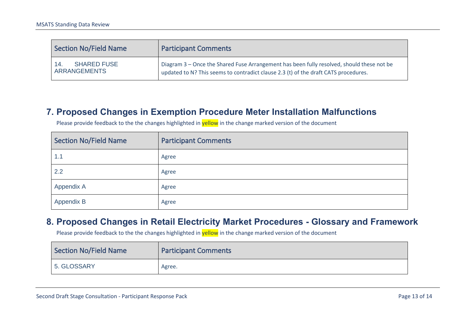| <b>Section No/Field Name</b>              | <b>Participant Comments</b>                                                                                                                                                      |
|-------------------------------------------|----------------------------------------------------------------------------------------------------------------------------------------------------------------------------------|
| 14.<br><b>SHARED FUSE</b><br>ARRANGEMENTS | Diagram 3 - Once the Shared Fuse Arrangement has been fully resolved, should these not be<br>updated to N? This seems to contradict clause 2.3 (t) of the draft CATS procedures. |

#### **7. Proposed Changes in Exemption Procedure Meter Installation Malfunctions**

Section No/Field Name Participant Comments

Please provide feedback to the the changes highlighted in yellow in the change marked version of the document

| <b>Section No/Field Name</b> | <b>Participant Comments</b> |
|------------------------------|-----------------------------|
| 1.1                          | Agree                       |
| 2.2                          | Agree                       |
| Appendix A                   | Agree                       |
| Appendix B                   | Agree                       |

#### **8. Proposed Changes in Retail Electricity Market Procedures - Glossary and Framework**

<span id="page-12-1"></span><span id="page-12-0"></span>

| Section No/Field Name | <b>Participant Comments</b> |
|-----------------------|-----------------------------|
| 5. GLOSSARY           | Agree.                      |